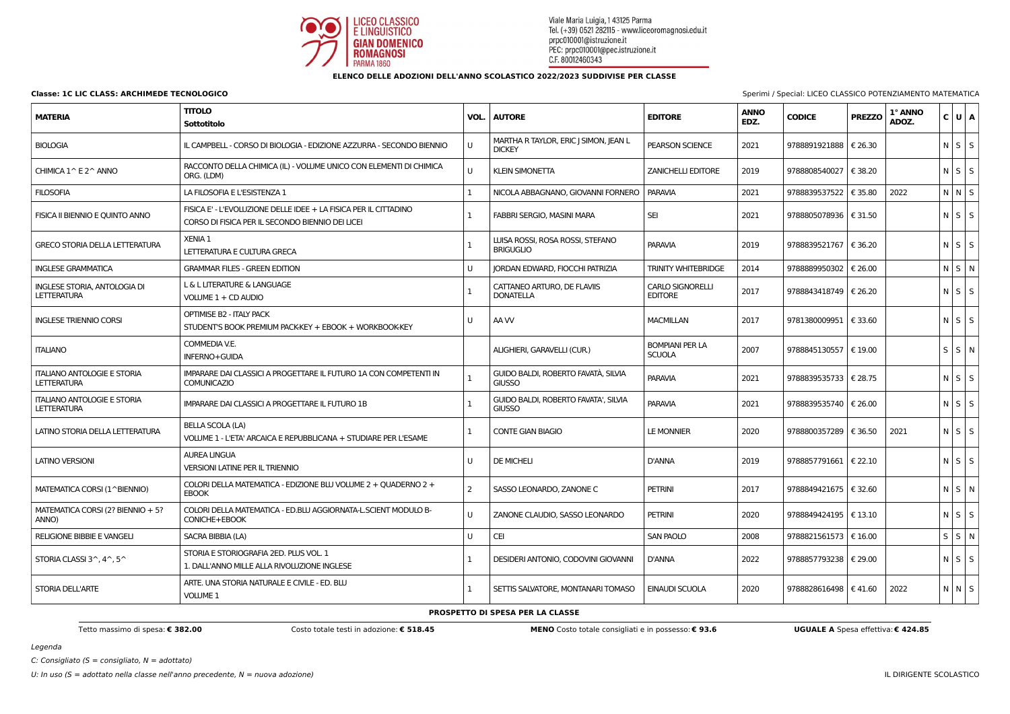

Legenda

 $C:$  Consigliato (S = consigliato,  $N =$  adottato)

**Classe: 1C LIC CLASS: ARCHIMEDE TECNOLOGICO** Special: LICEO CLASSICO POTENZIAMENTO MATEMATICA

## **ELENCO DELLE ADOZIONI DELL'ANNO SCOLASTICO 2022/2023 SUDDIVISE PER CLASSE**

| <b>MATERIA</b>                                           | <b>TITOLO</b><br>Sottotitolo                                                                                         | VOL.           | <b>AUTORE</b>                                          | <b>EDITORE</b>                            | <b>ANNO</b><br>EDZ. | <b>CODICE</b>           | <b>PREZZO</b> | 1° ANNO<br>ADOZ. |  | $ c $ $ u $ $ A $ |
|----------------------------------------------------------|----------------------------------------------------------------------------------------------------------------------|----------------|--------------------------------------------------------|-------------------------------------------|---------------------|-------------------------|---------------|------------------|--|-------------------|
| <b>BIOLOGIA</b>                                          | IL CAMPBELL - CORSO DI BIOLOGIA - EDIZIONE AZZURRA - SECONDO BIENNIO                                                 | IJ             | MARTHA R TAYLOR, ERIC J SIMON, JEAN L<br><b>DICKEY</b> | PEARSON SCIENCE                           | 2021                | 9788891921888           | € 26.30       |                  |  | $N \mid S \mid S$ |
| CHIMICA 1^ E 2^ ANNO                                     | RACCONTO DELLA CHIMICA (IL) - VOLUME UNICO CON ELEMENTI DI CHIMICA<br>ORG. (LDM)                                     | U              | <b>KLEIN SIMONETTA</b>                                 | <b>ZANICHELLI EDITORE</b>                 | 2019                | 9788808540027   € 38.20 |               |                  |  | $N$ $S$ $S$       |
| <b>FILOSOFIA</b>                                         | LA FILOSOFIA E L'ESISTENZA 1                                                                                         |                | NICOLA ABBAGNANO, GIOVANNI FORNERO                     | <b>PARAVIA</b>                            | 2021                | 9788839537522   € 35.80 |               | 2022             |  | NNS               |
| FISICA II BIENNIO E QUINTO ANNO                          | FISICA E' - L'EVOLUZIONE DELLE IDEE + LA FISICA PER IL CITTADINO<br>CORSO DI FISICA PER IL SECONDO BIENNIO DEI LICEI |                | <b>FABBRI SERGIO, MASINI MARA</b>                      | <b>SEI</b>                                | 2021                | 9788805078936   € 31.50 |               |                  |  | $N$ $S$ $S$       |
| <b>GRECO STORIA DELLA LETTERATURA</b>                    | XENIA 1<br>LETTERATURA E CULTURA GRECA                                                                               |                | LUISA ROSSI, ROSA ROSSI, STEFANO<br><b>BRIGUGLIO</b>   | <b>PARAVIA</b>                            | 2019                | 9788839521767   € 36.20 |               |                  |  | $N$ $S$ $S$       |
| <b>INGLESE GRAMMATICA</b>                                | <b>GRAMMAR FILES - GREEN EDITION</b>                                                                                 | IJ             | JORDAN EDWARD, FIOCCHI PATRIZIA                        | <b>TRINITY WHITEBRIDGE</b>                | 2014                | 9788889950302   € 26.00 |               |                  |  | N S N             |
| INGLESE STORIA, ANTOLOGIA DI<br><b>LETTERATURA</b>       | L & L LITERATURE & LANGUAGE<br>VOLUME 1 + CD AUDIO                                                                   |                | CATTANEO ARTURO, DE FLAVIIS<br><b>DONATELLA</b>        | <b>CARLO SIGNORELLI</b><br><b>EDITORE</b> | 2017                | 9788843418749   € 26.20 |               |                  |  | $N$ $S$ $S$       |
| <b>INGLESE TRIENNIO CORSI</b>                            | <b>OPTIMISE B2 - ITALY PACK</b><br>STUDENT'S BOOK PREMIUM PACK-KEY + EBOOK + WORKBOOK-KEY                            | IJ             | AA W                                                   | <b>MACMILLAN</b>                          | 2017                | 9781380009951   € 33.60 |               |                  |  | $N$ $S$ $S$       |
| <b>ITALIANO</b>                                          | COMMEDIA V.E.<br>INFERNO+GUIDA                                                                                       |                | ALIGHIERI, GARAVELLI (CUR.)                            | <b>BOMPIANI PER LA</b><br><b>SCUOLA</b>   | 2007                | 9788845130557   € 19.00 |               |                  |  | S S N             |
| <b>ITALIANO ANTOLOGIE E STORIA</b><br><b>LETTERATURA</b> | IMPARARE DAI CLASSICI A PROGETTARE IL FUTURO 1A CON COMPETENTI IN<br><b>COMUNICAZIO</b>                              |                | GUIDO BALDI, ROBERTO FAVATÀ, SILVIA<br><b>GIUSSO</b>   | <b>PARAVIA</b>                            | 2021                | 9788839535733   € 28.75 |               |                  |  | $N$ $S$ $S$       |
| <b>ITALIANO ANTOLOGIE E STORIA</b><br><b>LETTERATURA</b> | IMPARARE DAI CLASSICI A PROGETTARE IL FUTURO 1B                                                                      |                | GUIDO BALDI, ROBERTO FAVATA', SILVIA<br><b>GIUSSO</b>  | <b>PARAVIA</b>                            | 2021                | 9788839535740   € 26.00 |               |                  |  | $N$ $S$ $S$       |
| LATINO STORIA DELLA LETTERATURA                          | <b>BELLA SCOLA (LA)</b><br>VOLUME 1 - L'ETA' ARCAICA E REPUBBLICANA + STUDIARE PER L'ESAME                           |                | <b>CONTE GIAN BIAGIO</b>                               | <b>LE MONNIER</b>                         | 2020                | 9788800357289   € 36.50 |               | 2021             |  | $N$ $S$ $S$       |
| <b>LATINO VERSIONI</b>                                   | <b>AUREA LINGUA</b><br><b>VERSIONI LATINE PER IL TRIENNIO</b>                                                        | IJ             | <b>DE MICHELI</b>                                      | <b>D'ANNA</b>                             | 2019                | 9788857791661   € 22.10 |               |                  |  | $N \mid S \mid S$ |
| MATEMATICA CORSI (1^BIENNIO)                             | COLORI DELLA MATEMATICA - EDIZIONE BLU VOLUME 2 + QUADERNO 2 +<br><b>EBOOK</b>                                       | $\overline{2}$ | SASSO LEONARDO, ZANONE C                               | <b>PETRINI</b>                            | 2017                | 9788849421675   € 32.60 |               |                  |  | $N$ $S$ $N$       |
| MATEMATICA CORSI (2? BIENNIO + 5?<br>ANNO)               | COLORI DELLA MATEMATICA - ED.BLU AGGIORNATA-L.SCIENT MODULO B-<br>CONICHE+EBOOK                                      | IJ             | ZANONE CLAUDIO, SASSO LEONARDO                         | <b>PETRINI</b>                            | 2020                | 9788849424195   € 13.10 |               |                  |  | $N$ $S$ $S$       |
| <b>RELIGIONE BIBBIE E VANGELI</b>                        | SACRA BIBBIA (LA)                                                                                                    | U              | <b>CEI</b>                                             | <b>SAN PAOLO</b>                          | 2008                | 9788821561573   € 16.00 |               |                  |  | S S N             |
| STORIA CLASSI $3^{\wedge}$ , $4^{\wedge}$ , $5^{\wedge}$ | STORIA E STORIOGRAFIA 2ED. PLUS VOL. 1<br>1. DALL'ANNO MILLE ALLA RIVOLUZIONE INGLESE                                |                | DESIDERI ANTONIO, CODOVINI GIOVANNI                    | <b>D'ANNA</b>                             | 2022                | 9788857793238   € 29.00 |               |                  |  | $N$ $S$ $S$       |
| <b>STORIA DELL'ARTE</b>                                  | ARTE. UNA STORIA NATURALE E CIVILE - ED. BLU<br>VOLUME 1                                                             |                | SETTIS SALVATORE, MONTANARI TOMASO                     | <b>EINAUDI SCUOLA</b>                     | 2020                | 9788828616498   € 41.60 |               | 2022             |  | $N$ $N$ $S$       |
|                                                          |                                                                                                                      |                |                                                        |                                           |                     |                         |               |                  |  |                   |

### **PROSPETTO DI SPESA PER LA CLASSE**

Tetto massimo di spesa: € 382.00 Costo verale testi in adozione: € 518.45 MENO Costo totale consigliati e in possesso: € 93.6 UGUALE A Spesa effettiva: € 424.85